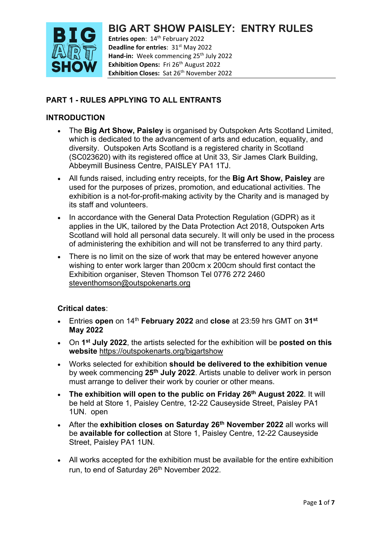

**Entries open: 14<sup>th</sup> February 2022 Deadline for entries**: 31<sup>st</sup> May 2022 Hand-in: Week commencing 25<sup>th</sup> July 2022 **Exhibition Opens:** Fri 26<sup>th</sup> August 2022 **Exhibition Closes:** Sat 26<sup>th</sup> November 2022

### **PART 1 - RULES APPLYING TO ALL ENTRANTS**

### **INTRODUCTION**

- The **Big Art Show, Paisley** is organised by Outspoken Arts Scotland Limited, which is dedicated to the advancement of arts and education, equality, and diversity. Outspoken Arts Scotland is a registered charity in Scotland (SC023620) with its registered office at Unit 33, Sir James Clark Building, Abbeymill Business Centre, PAISLEY PA1 1TJ.
- All funds raised, including entry receipts, for the **Big Art Show, Paisley** are used for the purposes of prizes, promotion, and educational activities. The exhibition is a not-for-profit-making activity by the Charity and is managed by its staff and volunteers.
- In accordance with the General Data Protection Regulation (GDPR) as it applies in the UK, tailored by the Data Protection Act 2018, Outspoken Arts Scotland will hold all personal data securely. It will only be used in the process of administering the exhibition and will not be transferred to any third party.
- There is no limit on the size of work that may be entered however anyone wishing to enter work larger than 200cm x 200cm should first contact the Exhibition organiser, Steven Thomson Tel 0776 272 2460 [steventhomson@outspokenarts.org](mailto:steventhomson@outspokenarts.org)

#### **Critical dates**:

- Entries **open** on 14th **February 2022** and **close** at 23:59 hrs GMT on **31st May 2022**
- On **1st July 2022**, the artists selected for the exhibition will be **posted on this website** <https://outspokenarts.org/bigartshow>
- Works selected for exhibition **should be delivered to the exhibition venue** by week commencing **25th July 2022**. Artists unable to deliver work in person must arrange to deliver their work by courier or other means.
- **The exhibition will open to the public on Friday 26th August 2022**. It will be held at Store 1, Paisley Centre, 12-22 Causeyside Street, Paisley PA1 1UN. open
- After the **exhibition closes on Saturday 26th November 2022** all works will be **available for collection** at Store 1, Paisley Centre, 12-22 Causeyside Street, Paisley PA1 1UN.
- All works accepted for the exhibition must be available for the entire exhibition run, to end of Saturday 26<sup>th</sup> November 2022.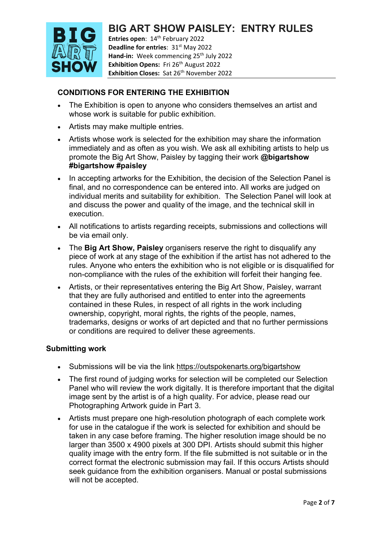

**Entries open: 14<sup>th</sup> February 2022 Deadline for entries**: 31<sup>st</sup> May 2022 Hand-in: Week commencing 25<sup>th</sup> July 2022 **Exhibition Opens:** Fri 26<sup>th</sup> August 2022 **Exhibition Closes:** Sat 26<sup>th</sup> November 2022

## **CONDITIONS FOR ENTERING THE EXHIBITION**

- The Exhibition is open to anyone who considers themselves an artist and whose work is suitable for public exhibition.
- Artists may make multiple entries.
- Artists whose work is selected for the exhibition may share the information immediately and as often as you wish. We ask all exhibiting artists to help us promote the Big Art Show, Paisley by tagging their work **@bigartshow #bigartshow #paisley**
- In accepting artworks for the Exhibition, the decision of the Selection Panel is final, and no correspondence can be entered into. All works are judged on individual merits and suitability for exhibition. The Selection Panel will look at and discuss the power and quality of the image, and the technical skill in execution.
- All notifications to artists regarding receipts, submissions and collections will be via email only.
- The **Big Art Show, Paisley** organisers reserve the right to disqualify any piece of work at any stage of the exhibition if the artist has not adhered to the rules. Anyone who enters the exhibition who is not eligible or is disqualified for non-compliance with the rules of the exhibition will forfeit their hanging fee.
- Artists, or their representatives entering the Big Art Show, Paisley, warrant that they are fully authorised and entitled to enter into the agreements contained in these Rules, in respect of all rights in the work including ownership, copyright, moral rights, the rights of the people, names, trademarks, designs or works of art depicted and that no further permissions or conditions are required to deliver these agreements.

#### **Submitting work**

- Submissions will be via the link<https://outspokenarts.org/bigartshow>
- The first round of judging works for selection will be completed our Selection Panel who will review the work digitally. It is therefore important that the digital image sent by the artist is of a high quality. For advice, please read our Photographing Artwork guide in Part 3.
- Artists must prepare one high-resolution photograph of each complete work for use in the catalogue if the work is selected for exhibition and should be taken in any case before framing. The higher resolution image should be no larger than 3500 x 4900 pixels at 300 DPI. Artists should submit this higher quality image with the entry form. If the file submitted is not suitable or in the correct format the electronic submission may fail. If this occurs Artists should seek guidance from the exhibition organisers. Manual or postal submissions will not be accepted.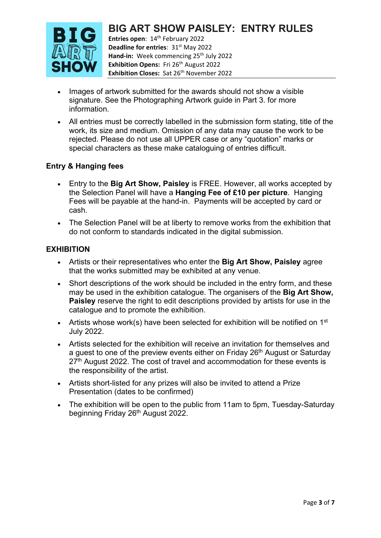

**Entries open: 14<sup>th</sup> February 2022 Deadline for entries**: 31<sup>st</sup> May 2022 Hand-in: Week commencing 25<sup>th</sup> July 2022 **Exhibition Opens:** Fri 26<sup>th</sup> August 2022 **Exhibition Closes:** Sat 26<sup>th</sup> November 2022

- Images of artwork submitted for the awards should not show a visible signature. See the Photographing Artwork guide in Part 3. for more information.
- All entries must be correctly labelled in the submission form stating, title of the work, its size and medium. Omission of any data may cause the work to be rejected. Please do not use all UPPER case or any "quotation" marks or special characters as these make cataloguing of entries difficult.

### **Entry & Hanging fees**

- Entry to the **Big Art Show, Paisley** is FREE. However, all works accepted by the Selection Panel will have a **Hanging Fee of £10 per picture**. Hanging Fees will be payable at the hand-in. Payments will be accepted by card or cash.
- The Selection Panel will be at liberty to remove works from the exhibition that do not conform to standards indicated in the digital submission.

### **EXHIBITION**

- Artists or their representatives who enter the **Big Art Show, Paisley** agree that the works submitted may be exhibited at any venue.
- Short descriptions of the work should be included in the entry form, and these may be used in the exhibition catalogue. The organisers of the **Big Art Show, Paisley** reserve the right to edit descriptions provided by artists for use in the catalogue and to promote the exhibition.
- Artists whose work(s) have been selected for exhibition will be notified on  $1<sup>st</sup>$ July 2022.
- Artists selected for the exhibition will receive an invitation for themselves and a guest to one of the preview events either on Friday 26<sup>th</sup> August or Saturday 27<sup>th</sup> August 2022. The cost of travel and accommodation for these events is the responsibility of the artist.
- Artists short-listed for any prizes will also be invited to attend a Prize Presentation (dates to be confirmed)
- The exhibition will be open to the public from 11am to 5pm, Tuesday-Saturday beginning Friday 26<sup>th</sup> August 2022.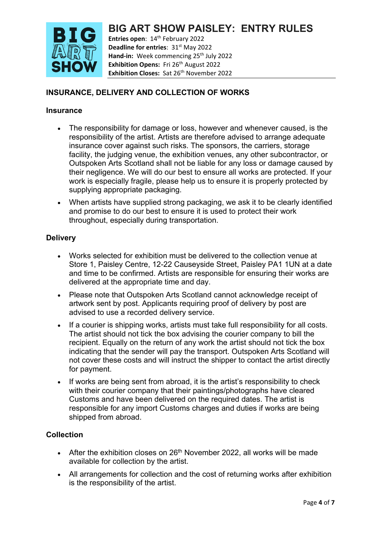

**Entries open: 14<sup>th</sup> February 2022 Deadline for entries**: 31<sup>st</sup> May 2022 Hand-in: Week commencing 25<sup>th</sup> July 2022 **Exhibition Opens:** Fri 26<sup>th</sup> August 2022 **Exhibition Closes:** Sat 26<sup>th</sup> November 2022

## **INSURANCE, DELIVERY AND COLLECTION OF WORKS**

#### **Insurance**

- The responsibility for damage or loss, however and whenever caused, is the responsibility of the artist. Artists are therefore advised to arrange adequate insurance cover against such risks. The sponsors, the carriers, storage facility, the judging venue, the exhibition venues, any other subcontractor, or Outspoken Arts Scotland shall not be liable for any loss or damage caused by their negligence. We will do our best to ensure all works are protected. If your work is especially fragile, please help us to ensure it is properly protected by supplying appropriate packaging.
- When artists have supplied strong packaging, we ask it to be clearly identified and promise to do our best to ensure it is used to protect their work throughout, especially during transportation.

### **Delivery**

- Works selected for exhibition must be delivered to the collection venue at Store 1, Paisley Centre, 12-22 Causeyside Street, Paisley PA1 1UN at a date and time to be confirmed. Artists are responsible for ensuring their works are delivered at the appropriate time and day.
- Please note that Outspoken Arts Scotland cannot acknowledge receipt of artwork sent by post. Applicants requiring proof of delivery by post are advised to use a recorded delivery service.
- If a courier is shipping works, artists must take full responsibility for all costs. The artist should not tick the box advising the courier company to bill the recipient. Equally on the return of any work the artist should not tick the box indicating that the sender will pay the transport. Outspoken Arts Scotland will not cover these costs and will instruct the shipper to contact the artist directly for payment.
- If works are being sent from abroad, it is the artist's responsibility to check with their courier company that their paintings/photographs have cleared Customs and have been delivered on the required dates. The artist is responsible for any import Customs charges and duties if works are being shipped from abroad.

### **Collection**

- After the exhibition closes on  $26<sup>th</sup>$  November 2022, all works will be made available for collection by the artist.
- All arrangements for collection and the cost of returning works after exhibition is the responsibility of the artist.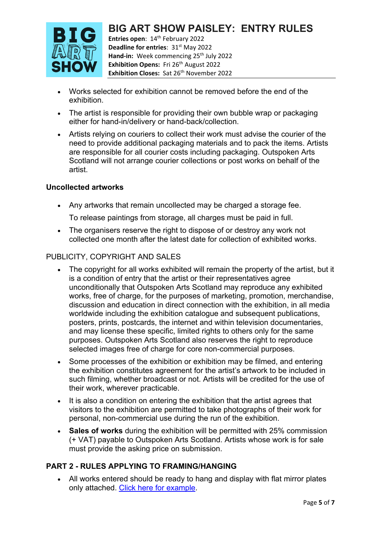## **BIG ART SHOW PAISLEY: ENTRY RULES Entries open: 14<sup>th</sup> February 2022**



**Deadline for entries**: 31<sup>st</sup> May 2022 Hand-in: Week commencing 25<sup>th</sup> July 2022 **Exhibition Opens:** Fri 26<sup>th</sup> August 2022 **Exhibition Closes:** Sat 26<sup>th</sup> November 2022

- Works selected for exhibition cannot be removed before the end of the exhibition.
- The artist is responsible for providing their own bubble wrap or packaging either for hand-in/delivery or hand-back/collection.
- Artists relying on couriers to collect their work must advise the courier of the need to provide additional packaging materials and to pack the items. Artists are responsible for all courier costs including packaging. Outspoken Arts Scotland will not arrange courier collections or post works on behalf of the artist.

## **Uncollected artworks**

• Any artworks that remain uncollected may be charged a storage fee.

To release paintings from storage, all charges must be paid in full.

• The organisers reserve the right to dispose of or destroy any work not collected one month after the latest date for collection of exhibited works.

## PUBLICITY, COPYRIGHT AND SALES

- The copyright for all works exhibited will remain the property of the artist, but it is a condition of entry that the artist or their representatives agree unconditionally that Outspoken Arts Scotland may reproduce any exhibited works, free of charge, for the purposes of marketing, promotion, merchandise, discussion and education in direct connection with the exhibition, in all media worldwide including the exhibition catalogue and subsequent publications, posters, prints, postcards, the internet and within television documentaries, and may license these specific, limited rights to others only for the same purposes. Outspoken Arts Scotland also reserves the right to reproduce selected images free of charge for core non-commercial purposes.
- Some processes of the exhibition or exhibition may be filmed, and entering the exhibition constitutes agreement for the artist's artwork to be included in such filming, whether broadcast or not. Artists will be credited for the use of their work, wherever practicable.
- It is also a condition on entering the exhibition that the artist agrees that visitors to the exhibition are permitted to take photographs of their work for personal, non-commercial use during the run of the exhibition.
- **Sales of works** during the exhibition will be permitted with 25% commission (+ VAT) payable to Outspoken Arts Scotland. Artists whose work is for sale must provide the asking price on submission.

## **PART 2 - RULES APPLYING TO FRAMING/HANGING**

• All works entered should be ready to hang and display with flat mirror plates only attached. [Click here for example.](https://www.ukpictureframingsupplies.co.uk/picture--mirror-plate-hangers-33-c.asp)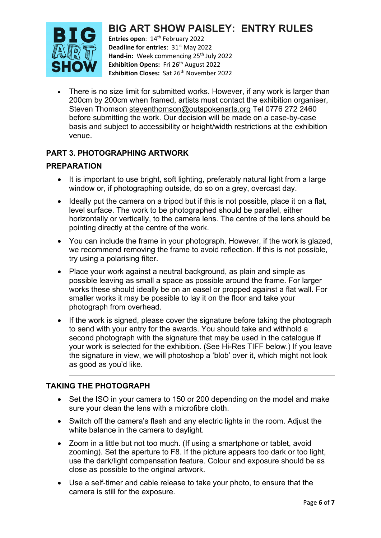

**Entries open: 14<sup>th</sup> February 2022 Deadline for entries**: 31<sup>st</sup> May 2022 Hand-in: Week commencing 25<sup>th</sup> July 2022 **Exhibition Opens:** Fri 26<sup>th</sup> August 2022 **Exhibition Closes:** Sat 26<sup>th</sup> November 2022

There is no size limit for submitted works. However, if any work is larger than 200cm by 200cm when framed, artists must contact the exhibition organiser, Steven Thomson [steventhomson@outspokenarts.org](mailto:steventhomson@outspokenarts.org) Tel 0776 272 2460 before submitting the work. Our decision will be made on a case-by-case basis and subject to accessibility or height/width restrictions at the exhibition venue.

### **PART 3. PHOTOGRAPHING ARTWORK**

#### **PREPARATION**

- It is important to use bright, soft lighting, preferably natural light from a large window or, if photographing outside, do so on a grey, overcast day.
- Ideally put the camera on a tripod but if this is not possible, place it on a flat, level surface. The work to be photographed should be parallel, either horizontally or vertically, to the camera lens. The centre of the lens should be pointing directly at the centre of the work.
- You can include the frame in your photograph. However, if the work is glazed, we recommend removing the frame to avoid reflection. If this is not possible, try using a polarising filter.
- Place your work against a neutral background, as plain and simple as possible leaving as small a space as possible around the frame. For larger works these should ideally be on an easel or propped against a flat wall. For smaller works it may be possible to lay it on the floor and take your photograph from overhead.
- If the work is signed, please cover the signature before taking the photograph to send with your entry for the awards. You should take and withhold a second photograph with the signature that may be used in the catalogue if your work is selected for the exhibition. (See Hi-Res TIFF below.) If you leave the signature in view, we will photoshop a 'blob' over it, which might not look as good as you'd like.

#### **TAKING THE PHOTOGRAPH**

- Set the ISO in your camera to 150 or 200 depending on the model and make sure your clean the lens with a microfibre cloth.
- Switch off the camera's flash and any electric lights in the room. Adjust the white balance in the camera to daylight.
- Zoom in a little but not too much. (If using a smartphone or tablet, avoid zooming). Set the aperture to F8. If the picture appears too dark or too light, use the dark/light compensation feature. Colour and exposure should be as close as possible to the original artwork.
- Use a self‐timer and cable release to take your photo, to ensure that the camera is still for the exposure.